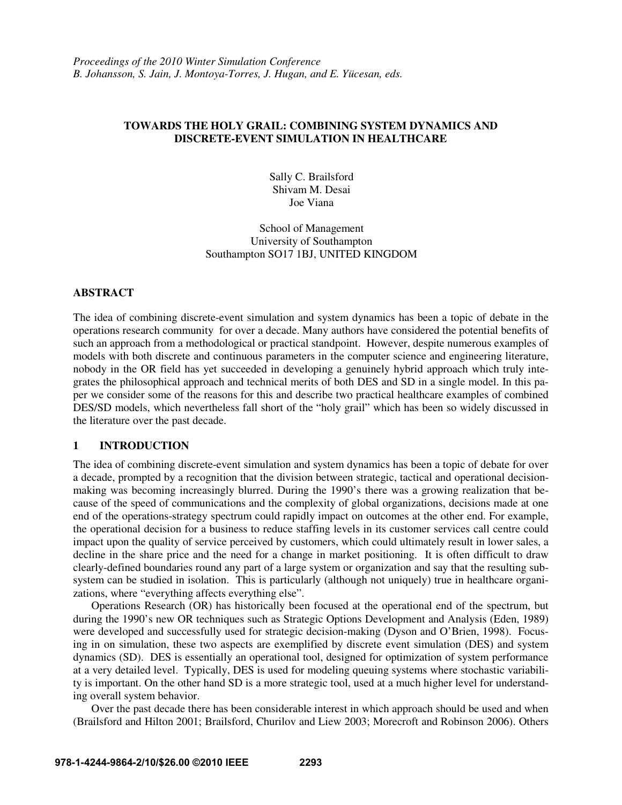# **TOWARDS THE HOLY GRAIL: COMBINING SYSTEM DYNAMICS AND DISCRETE-EVENT SIMULATION IN HEALTHCARE**

Sally C. Brailsford Shivam M. Desai Joe Viana

School of Management University of Southampton Southampton SO17 1BJ, UNITED KINGDOM

## **ABSTRACT**

The idea of combining discrete-event simulation and system dynamics has been a topic of debate in the operations research community for over a decade. Many authors have considered the potential benefits of such an approach from a methodological or practical standpoint. However, despite numerous examples of models with both discrete and continuous parameters in the computer science and engineering literature, nobody in the OR field has yet succeeded in developing a genuinely hybrid approach which truly integrates the philosophical approach and technical merits of both DES and SD in a single model. In this paper we consider some of the reasons for this and describe two practical healthcare examples of combined DES/SD models, which nevertheless fall short of the "holy grail" which has been so widely discussed in the literature over the past decade.

## **1 INTRODUCTION**

The idea of combining discrete-event simulation and system dynamics has been a topic of debate for over a decade, prompted by a recognition that the division between strategic, tactical and operational decisionmaking was becoming increasingly blurred. During the 1990's there was a growing realization that because of the speed of communications and the complexity of global organizations, decisions made at one end of the operations-strategy spectrum could rapidly impact on outcomes at the other end. For example, the operational decision for a business to reduce staffing levels in its customer services call centre could impact upon the quality of service perceived by customers, which could ultimately result in lower sales, a decline in the share price and the need for a change in market positioning. It is often difficult to draw clearly-defined boundaries round any part of a large system or organization and say that the resulting subsystem can be studied in isolation. This is particularly (although not uniquely) true in healthcare organizations, where "everything affects everything else".

 Operations Research (OR) has historically been focused at the operational end of the spectrum, but during the 1990's new OR techniques such as Strategic Options Development and Analysis (Eden, 1989) were developed and successfully used for strategic decision-making (Dyson and O'Brien, 1998). Focusing in on simulation, these two aspects are exemplified by discrete event simulation (DES) and system dynamics (SD). DES is essentially an operational tool, designed for optimization of system performance at a very detailed level. Typically, DES is used for modeling queuing systems where stochastic variability is important. On the other hand SD is a more strategic tool, used at a much higher level for understanding overall system behavior.

 Over the past decade there has been considerable interest in which approach should be used and when (Brailsford and Hilton 2001; Brailsford, Churilov and Liew 2003; Morecroft and Robinson 2006). Others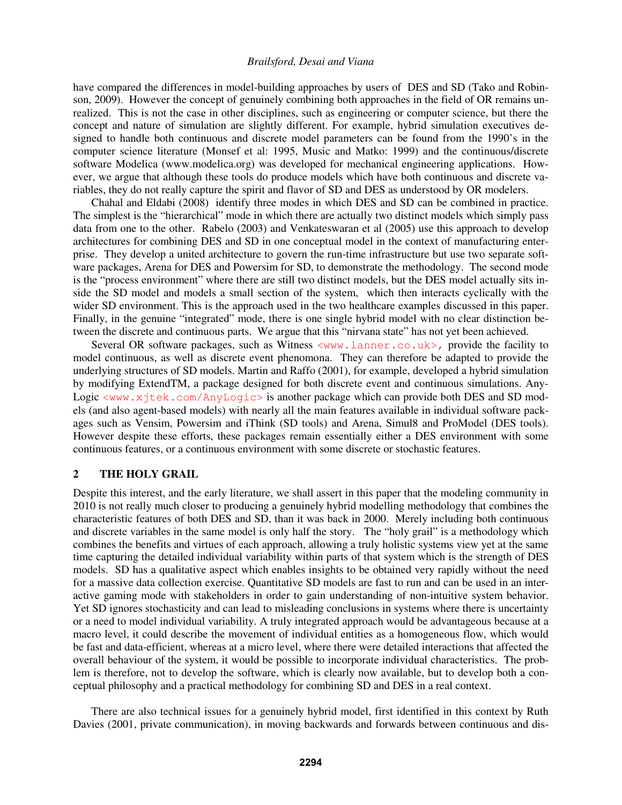have compared the differences in model-building approaches by users of DES and SD (Tako and Robinson, 2009). However the concept of genuinely combining both approaches in the field of OR remains unrealized. This is not the case in other disciplines, such as engineering or computer science, but there the concept and nature of simulation are slightly different. For example, hybrid simulation executives designed to handle both continuous and discrete model parameters can be found from the 1990's in the computer science literature (Monsef et al: 1995, Music and Matko: 1999) and the continuous/discrete software Modelica (www.modelica.org) was developed for mechanical engineering applications. However, we argue that although these tools do produce models which have both continuous and discrete variables, they do not really capture the spirit and flavor of SD and DES as understood by OR modelers.

 Chahal and Eldabi (2008) identify three modes in which DES and SD can be combined in practice. The simplest is the "hierarchical" mode in which there are actually two distinct models which simply pass data from one to the other. Rabelo (2003) and Venkateswaran et al (2005) use this approach to develop architectures for combining DES and SD in one conceptual model in the context of manufacturing enterprise. They develop a united architecture to govern the run-time infrastructure but use two separate software packages, Arena for DES and Powersim for SD, to demonstrate the methodology. The second mode is the "process environment" where there are still two distinct models, but the DES model actually sits inside the SD model and models a small section of the system, which then interacts cyclically with the wider SD environment. This is the approach used in the two healthcare examples discussed in this paper. Finally, in the genuine "integrated" mode, there is one single hybrid model with no clear distinction between the discrete and continuous parts. We argue that this "nirvana state" has not yet been achieved.

Several OR software packages, such as Witness <www.lanner.co.uk>, provide the facility to model continuous, as well as discrete event phenomona. They can therefore be adapted to provide the underlying structures of SD models. Martin and Raffo (2001), for example, developed a hybrid simulation by modifying ExtendTM, a package designed for both discrete event and continuous simulations. Any-Logic <www.xjtek.com/AnyLogic> is another package which can provide both DES and SD models (and also agent-based models) with nearly all the main features available in individual software packages such as Vensim, Powersim and iThink (SD tools) and Arena, Simul8 and ProModel (DES tools). However despite these efforts, these packages remain essentially either a DES environment with some continuous features, or a continuous environment with some discrete or stochastic features.

#### **2 THE HOLY GRAIL**

Despite this interest, and the early literature, we shall assert in this paper that the modeling community in 2010 is not really much closer to producing a genuinely hybrid modelling methodology that combines the characteristic features of both DES and SD, than it was back in 2000. Merely including both continuous and discrete variables in the same model is only half the story. The "holy grail" is a methodology which combines the benefits and virtues of each approach, allowing a truly holistic systems view yet at the same time capturing the detailed individual variability within parts of that system which is the strength of DES models. SD has a qualitative aspect which enables insights to be obtained very rapidly without the need for a massive data collection exercise. Quantitative SD models are fast to run and can be used in an interactive gaming mode with stakeholders in order to gain understanding of non-intuitive system behavior. Yet SD ignores stochasticity and can lead to misleading conclusions in systems where there is uncertainty or a need to model individual variability. A truly integrated approach would be advantageous because at a macro level, it could describe the movement of individual entities as a homogeneous flow, which would be fast and data-efficient, whereas at a micro level, where there were detailed interactions that affected the overall behaviour of the system, it would be possible to incorporate individual characteristics. The problem is therefore, not to develop the software, which is clearly now available, but to develop both a conceptual philosophy and a practical methodology for combining SD and DES in a real context.

 There are also technical issues for a genuinely hybrid model, first identified in this context by Ruth Davies (2001, private communication), in moving backwards and forwards between continuous and dis-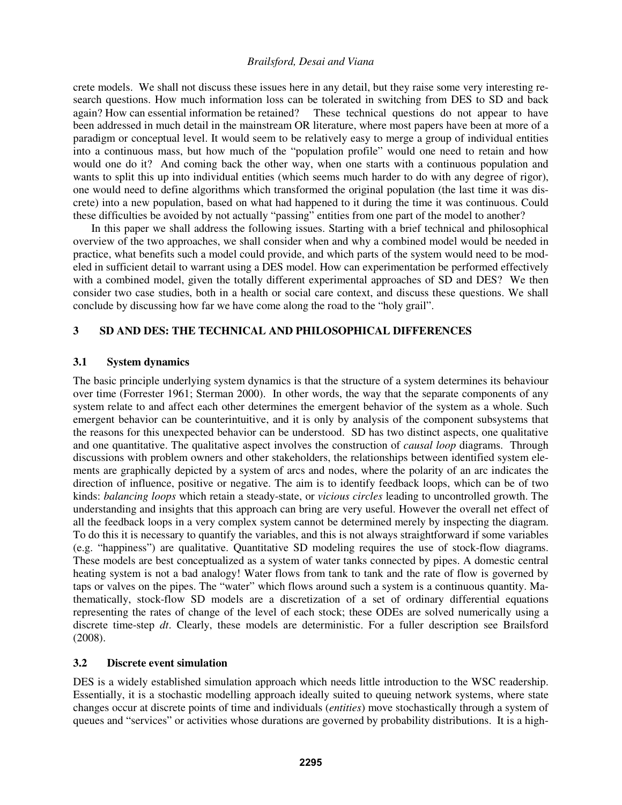crete models. We shall not discuss these issues here in any detail, but they raise some very interesting research questions. How much information loss can be tolerated in switching from DES to SD and back again? How can essential information be retained? These technical questions do not appear to have been addressed in much detail in the mainstream OR literature, where most papers have been at more of a paradigm or conceptual level. It would seem to be relatively easy to merge a group of individual entities into a continuous mass, but how much of the "population profile" would one need to retain and how would one do it? And coming back the other way, when one starts with a continuous population and wants to split this up into individual entities (which seems much harder to do with any degree of rigor), one would need to define algorithms which transformed the original population (the last time it was discrete) into a new population, based on what had happened to it during the time it was continuous. Could these difficulties be avoided by not actually "passing" entities from one part of the model to another?

 In this paper we shall address the following issues. Starting with a brief technical and philosophical overview of the two approaches, we shall consider when and why a combined model would be needed in practice, what benefits such a model could provide, and which parts of the system would need to be modeled in sufficient detail to warrant using a DES model. How can experimentation be performed effectively with a combined model, given the totally different experimental approaches of SD and DES? We then consider two case studies, both in a health or social care context, and discuss these questions. We shall conclude by discussing how far we have come along the road to the "holy grail".

# **3 SD AND DES: THE TECHNICAL AND PHILOSOPHICAL DIFFERENCES**

# **3.1 System dynamics**

The basic principle underlying system dynamics is that the structure of a system determines its behaviour over time (Forrester 1961; Sterman 2000). In other words, the way that the separate components of any system relate to and affect each other determines the emergent behavior of the system as a whole. Such emergent behavior can be counterintuitive, and it is only by analysis of the component subsystems that the reasons for this unexpected behavior can be understood. SD has two distinct aspects, one qualitative and one quantitative. The qualitative aspect involves the construction of *causal loop* diagrams. Through discussions with problem owners and other stakeholders, the relationships between identified system elements are graphically depicted by a system of arcs and nodes, where the polarity of an arc indicates the direction of influence, positive or negative. The aim is to identify feedback loops, which can be of two kinds: *balancing loops* which retain a steady-state, or *vicious circles* leading to uncontrolled growth. The understanding and insights that this approach can bring are very useful. However the overall net effect of all the feedback loops in a very complex system cannot be determined merely by inspecting the diagram. To do this it is necessary to quantify the variables, and this is not always straightforward if some variables (e.g. "happiness") are qualitative. Quantitative SD modeling requires the use of stock-flow diagrams. These models are best conceptualized as a system of water tanks connected by pipes. A domestic central heating system is not a bad analogy! Water flows from tank to tank and the rate of flow is governed by taps or valves on the pipes. The "water" which flows around such a system is a continuous quantity. Mathematically, stock-flow SD models are a discretization of a set of ordinary differential equations representing the rates of change of the level of each stock; these ODEs are solved numerically using a discrete time-step *dt*. Clearly, these models are deterministic. For a fuller description see Brailsford (2008).

# **3.2 Discrete event simulation**

DES is a widely established simulation approach which needs little introduction to the WSC readership. Essentially, it is a stochastic modelling approach ideally suited to queuing network systems, where state changes occur at discrete points of time and individuals (*entities*) move stochastically through a system of queues and "services" or activities whose durations are governed by probability distributions. It is a high-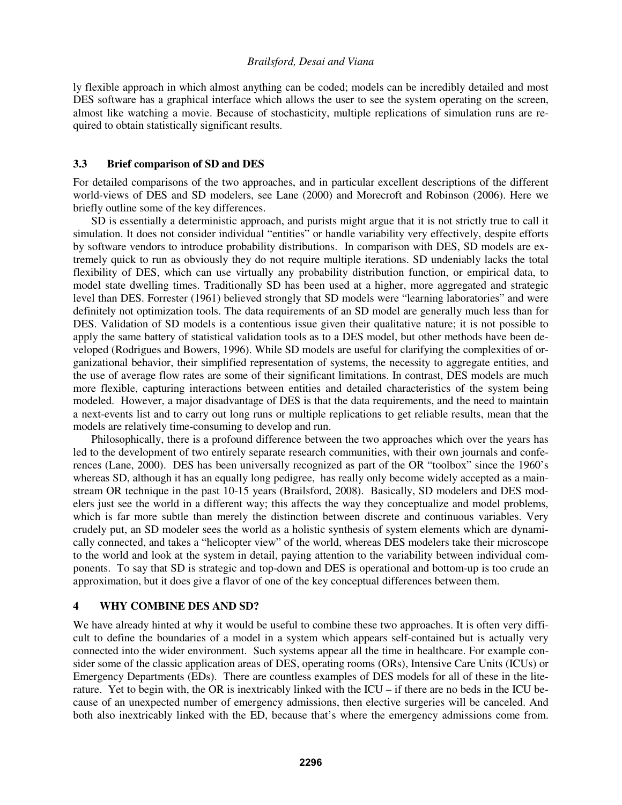ly flexible approach in which almost anything can be coded; models can be incredibly detailed and most DES software has a graphical interface which allows the user to see the system operating on the screen, almost like watching a movie. Because of stochasticity, multiple replications of simulation runs are required to obtain statistically significant results.

## **3.3 Brief comparison of SD and DES**

For detailed comparisons of the two approaches, and in particular excellent descriptions of the different world-views of DES and SD modelers, see Lane (2000) and Morecroft and Robinson (2006). Here we briefly outline some of the key differences.

 SD is essentially a deterministic approach, and purists might argue that it is not strictly true to call it simulation. It does not consider individual "entities" or handle variability very effectively, despite efforts by software vendors to introduce probability distributions. In comparison with DES, SD models are extremely quick to run as obviously they do not require multiple iterations. SD undeniably lacks the total flexibility of DES, which can use virtually any probability distribution function, or empirical data, to model state dwelling times. Traditionally SD has been used at a higher, more aggregated and strategic level than DES. Forrester (1961) believed strongly that SD models were "learning laboratories" and were definitely not optimization tools. The data requirements of an SD model are generally much less than for DES. Validation of SD models is a contentious issue given their qualitative nature; it is not possible to apply the same battery of statistical validation tools as to a DES model, but other methods have been developed (Rodrigues and Bowers, 1996). While SD models are useful for clarifying the complexities of organizational behavior, their simplified representation of systems, the necessity to aggregate entities, and the use of average flow rates are some of their significant limitations. In contrast, DES models are much more flexible, capturing interactions between entities and detailed characteristics of the system being modeled. However, a major disadvantage of DES is that the data requirements, and the need to maintain a next-events list and to carry out long runs or multiple replications to get reliable results, mean that the models are relatively time-consuming to develop and run.

 Philosophically, there is a profound difference between the two approaches which over the years has led to the development of two entirely separate research communities, with their own journals and conferences (Lane, 2000). DES has been universally recognized as part of the OR "toolbox" since the 1960's whereas SD, although it has an equally long pedigree, has really only become widely accepted as a mainstream OR technique in the past 10-15 years (Brailsford, 2008). Basically, SD modelers and DES modelers just see the world in a different way; this affects the way they conceptualize and model problems, which is far more subtle than merely the distinction between discrete and continuous variables. Very crudely put, an SD modeler sees the world as a holistic synthesis of system elements which are dynamically connected, and takes a "helicopter view" of the world, whereas DES modelers take their microscope to the world and look at the system in detail, paying attention to the variability between individual components. To say that SD is strategic and top-down and DES is operational and bottom-up is too crude an approximation, but it does give a flavor of one of the key conceptual differences between them.

## **4 WHY COMBINE DES AND SD?**

We have already hinted at why it would be useful to combine these two approaches. It is often very difficult to define the boundaries of a model in a system which appears self-contained but is actually very connected into the wider environment. Such systems appear all the time in healthcare. For example consider some of the classic application areas of DES, operating rooms (ORs), Intensive Care Units (ICUs) or Emergency Departments (EDs). There are countless examples of DES models for all of these in the literature. Yet to begin with, the OR is inextricably linked with the ICU – if there are no beds in the ICU because of an unexpected number of emergency admissions, then elective surgeries will be canceled. And both also inextricably linked with the ED, because that's where the emergency admissions come from.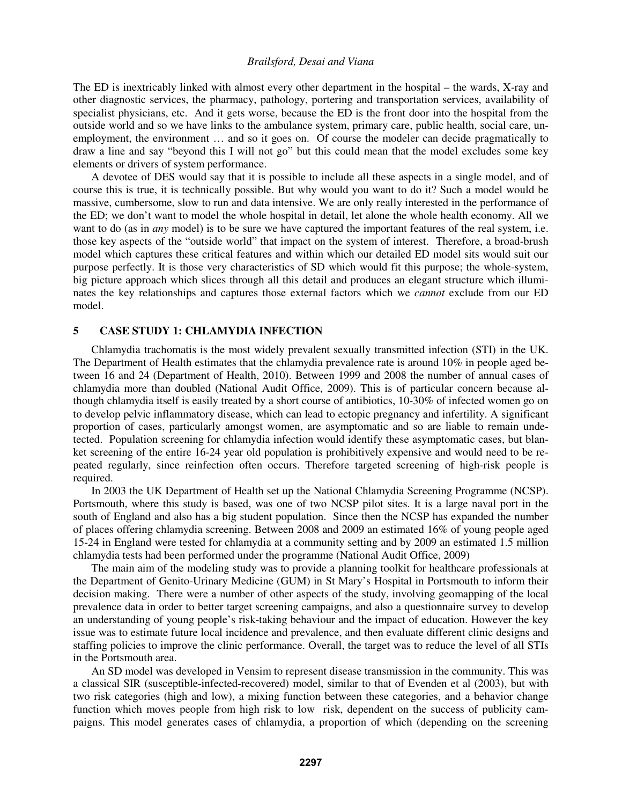The ED is inextricably linked with almost every other department in the hospital – the wards, X-ray and other diagnostic services, the pharmacy, pathology, portering and transportation services, availability of specialist physicians, etc. And it gets worse, because the ED is the front door into the hospital from the outside world and so we have links to the ambulance system, primary care, public health, social care, unemployment, the environment … and so it goes on. Of course the modeler can decide pragmatically to draw a line and say "beyond this I will not go" but this could mean that the model excludes some key elements or drivers of system performance.

A devotee of DES would say that it is possible to include all these aspects in a single model, and of course this is true, it is technically possible. But why would you want to do it? Such a model would be massive, cumbersome, slow to run and data intensive. We are only really interested in the performance of the ED; we don't want to model the whole hospital in detail, let alone the whole health economy. All we want to do (as in *any* model) is to be sure we have captured the important features of the real system, i.e. those key aspects of the "outside world" that impact on the system of interest. Therefore, a broad-brush model which captures these critical features and within which our detailed ED model sits would suit our purpose perfectly. It is those very characteristics of SD which would fit this purpose; the whole-system, big picture approach which slices through all this detail and produces an elegant structure which illuminates the key relationships and captures those external factors which we *cannot* exclude from our ED model.

# **5 CASE STUDY 1: CHLAMYDIA INFECTION**

Chlamydia trachomatis is the most widely prevalent sexually transmitted infection (STI) in the UK. The Department of Health estimates that the chlamydia prevalence rate is around 10% in people aged between 16 and 24 (Department of Health, 2010). Between 1999 and 2008 the number of annual cases of chlamydia more than doubled (National Audit Office, 2009). This is of particular concern because although chlamydia itself is easily treated by a short course of antibiotics, 10-30% of infected women go on to develop pelvic inflammatory disease, which can lead to ectopic pregnancy and infertility. A significant proportion of cases, particularly amongst women, are asymptomatic and so are liable to remain undetected. Population screening for chlamydia infection would identify these asymptomatic cases, but blanket screening of the entire 16-24 year old population is prohibitively expensive and would need to be repeated regularly, since reinfection often occurs. Therefore targeted screening of high-risk people is required.

In 2003 the UK Department of Health set up the National Chlamydia Screening Programme (NCSP). Portsmouth, where this study is based, was one of two NCSP pilot sites. It is a large naval port in the south of England and also has a big student population. Since then the NCSP has expanded the number of places offering chlamydia screening. Between 2008 and 2009 an estimated 16% of young people aged 15-24 in England were tested for chlamydia at a community setting and by 2009 an estimated 1.5 million chlamydia tests had been performed under the programme (National Audit Office, 2009)

The main aim of the modeling study was to provide a planning toolkit for healthcare professionals at the Department of Genito-Urinary Medicine (GUM) in St Mary's Hospital in Portsmouth to inform their decision making. There were a number of other aspects of the study, involving geomapping of the local prevalence data in order to better target screening campaigns, and also a questionnaire survey to develop an understanding of young people's risk-taking behaviour and the impact of education. However the key issue was to estimate future local incidence and prevalence, and then evaluate different clinic designs and staffing policies to improve the clinic performance. Overall, the target was to reduce the level of all STIs in the Portsmouth area.

An SD model was developed in Vensim to represent disease transmission in the community. This was a classical SIR (susceptible-infected-recovered) model, similar to that of Evenden et al (2003), but with two risk categories (high and low), a mixing function between these categories, and a behavior change function which moves people from high risk to low risk, dependent on the success of publicity campaigns. This model generates cases of chlamydia, a proportion of which (depending on the screening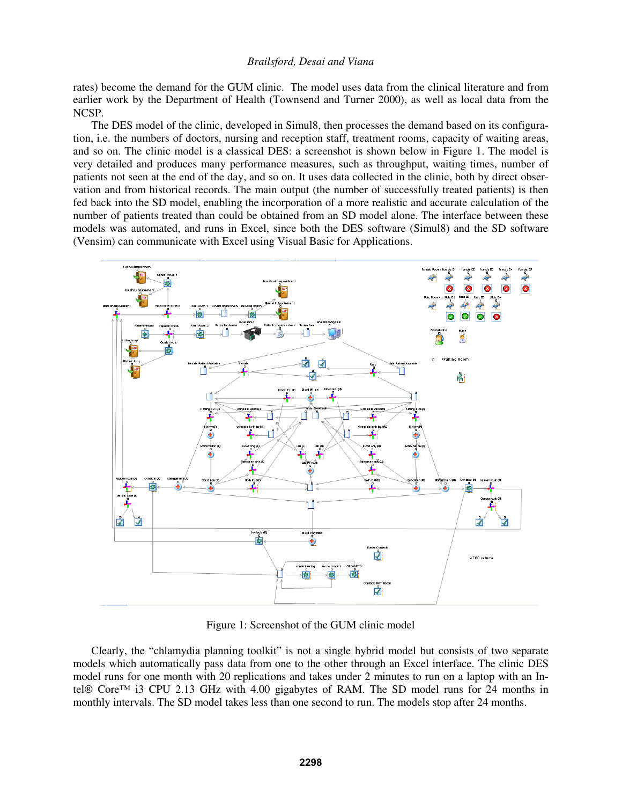rates) become the demand for the GUM clinic. The model uses data from the clinical literature and from earlier work by the Department of Health (Townsend and Turner 2000), as well as local data from the NCSP.

The DES model of the clinic, developed in Simul8, then processes the demand based on its configuration, i.e. the numbers of doctors, nursing and reception staff, treatment rooms, capacity of waiting areas, and so on. The clinic model is a classical DES: a screenshot is shown below in Figure 1. The model is very detailed and produces many performance measures, such as throughput, waiting times, number of patients not seen at the end of the day, and so on. It uses data collected in the clinic, both by direct observation and from historical records. The main output (the number of successfully treated patients) is then fed back into the SD model, enabling the incorporation of a more realistic and accurate calculation of the number of patients treated than could be obtained from an SD model alone. The interface between these models was automated, and runs in Excel, since both the DES software (Simul8) and the SD software (Vensim) can communicate with Excel using Visual Basic for Applications.



Figure 1: Screenshot of the GUM clinic model

Clearly, the "chlamydia planning toolkit" is not a single hybrid model but consists of two separate models which automatically pass data from one to the other through an Excel interface. The clinic DES model runs for one month with 20 replications and takes under 2 minutes to run on a laptop with an Intel® Core™ i3 CPU 2.13 GHz with 4.00 gigabytes of RAM. The SD model runs for 24 months in monthly intervals. The SD model takes less than one second to run. The models stop after 24 months.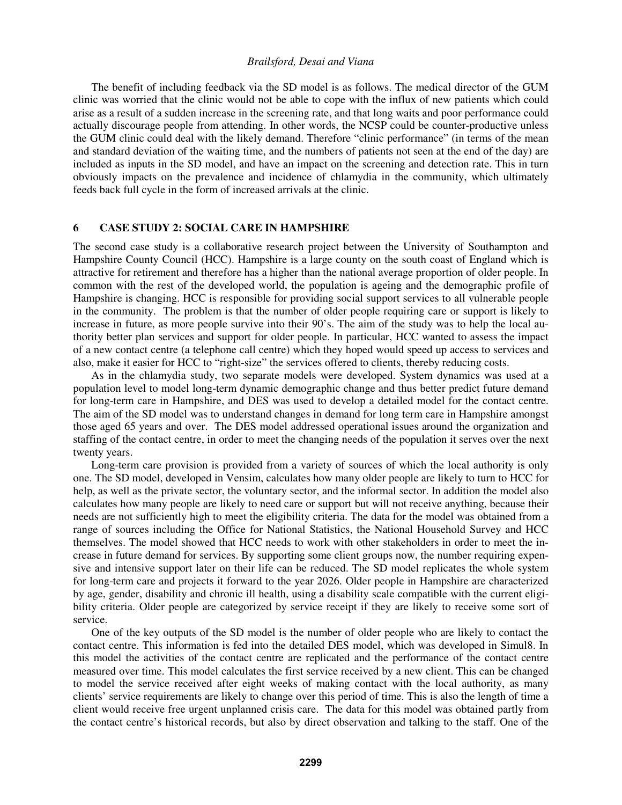The benefit of including feedback via the SD model is as follows. The medical director of the GUM clinic was worried that the clinic would not be able to cope with the influx of new patients which could arise as a result of a sudden increase in the screening rate, and that long waits and poor performance could actually discourage people from attending. In other words, the NCSP could be counter-productive unless the GUM clinic could deal with the likely demand. Therefore "clinic performance" (in terms of the mean and standard deviation of the waiting time, and the numbers of patients not seen at the end of the day) are included as inputs in the SD model, and have an impact on the screening and detection rate. This in turn obviously impacts on the prevalence and incidence of chlamydia in the community, which ultimately feeds back full cycle in the form of increased arrivals at the clinic.

#### **6 CASE STUDY 2: SOCIAL CARE IN HAMPSHIRE**

The second case study is a collaborative research project between the University of Southampton and Hampshire County Council (HCC). Hampshire is a large county on the south coast of England which is attractive for retirement and therefore has a higher than the national average proportion of older people. In common with the rest of the developed world, the population is ageing and the demographic profile of Hampshire is changing. HCC is responsible for providing social support services to all vulnerable people in the community. The problem is that the number of older people requiring care or support is likely to increase in future, as more people survive into their 90's. The aim of the study was to help the local authority better plan services and support for older people. In particular, HCC wanted to assess the impact of a new contact centre (a telephone call centre) which they hoped would speed up access to services and also, make it easier for HCC to "right-size" the services offered to clients, thereby reducing costs.

As in the chlamydia study, two separate models were developed. System dynamics was used at a population level to model long-term dynamic demographic change and thus better predict future demand for long-term care in Hampshire, and DES was used to develop a detailed model for the contact centre. The aim of the SD model was to understand changes in demand for long term care in Hampshire amongst those aged 65 years and over. The DES model addressed operational issues around the organization and staffing of the contact centre, in order to meet the changing needs of the population it serves over the next twenty years.

Long-term care provision is provided from a variety of sources of which the local authority is only one. The SD model, developed in Vensim, calculates how many older people are likely to turn to HCC for help, as well as the private sector, the voluntary sector, and the informal sector. In addition the model also calculates how many people are likely to need care or support but will not receive anything, because their needs are not sufficiently high to meet the eligibility criteria. The data for the model was obtained from a range of sources including the Office for National Statistics, the National Household Survey and HCC themselves. The model showed that HCC needs to work with other stakeholders in order to meet the increase in future demand for services. By supporting some client groups now, the number requiring expensive and intensive support later on their life can be reduced. The SD model replicates the whole system for long-term care and projects it forward to the year 2026. Older people in Hampshire are characterized by age, gender, disability and chronic ill health, using a disability scale compatible with the current eligibility criteria. Older people are categorized by service receipt if they are likely to receive some sort of service.

One of the key outputs of the SD model is the number of older people who are likely to contact the contact centre. This information is fed into the detailed DES model, which was developed in Simul8. In this model the activities of the contact centre are replicated and the performance of the contact centre measured over time. This model calculates the first service received by a new client. This can be changed to model the service received after eight weeks of making contact with the local authority, as many clients' service requirements are likely to change over this period of time. This is also the length of time a client would receive free urgent unplanned crisis care. The data for this model was obtained partly from the contact centre's historical records, but also by direct observation and talking to the staff. One of the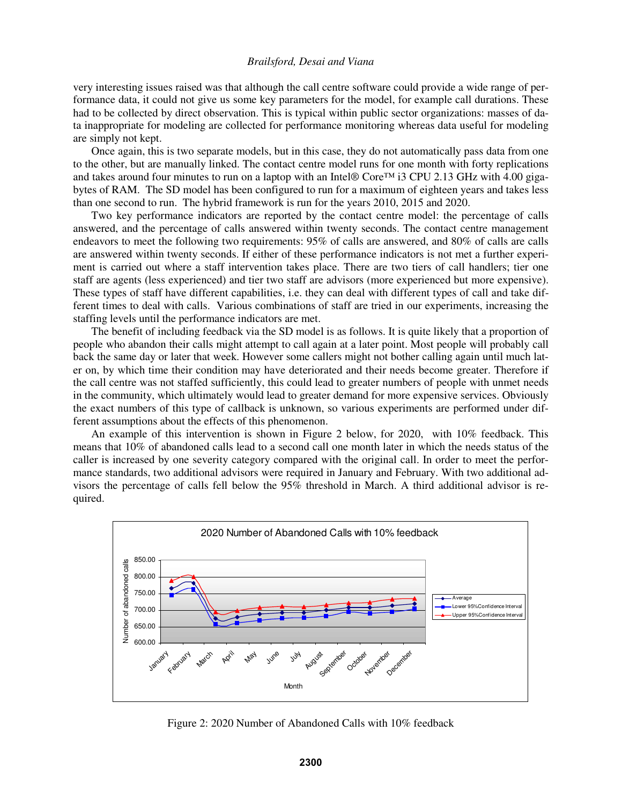very interesting issues raised was that although the call centre software could provide a wide range of performance data, it could not give us some key parameters for the model, for example call durations. These had to be collected by direct observation. This is typical within public sector organizations: masses of data inappropriate for modeling are collected for performance monitoring whereas data useful for modeling are simply not kept.

Once again, this is two separate models, but in this case, they do not automatically pass data from one to the other, but are manually linked. The contact centre model runs for one month with forty replications and takes around four minutes to run on a laptop with an Intel® Core™ i3 CPU 2.13 GHz with 4.00 gigabytes of RAM. The SD model has been configured to run for a maximum of eighteen years and takes less than one second to run. The hybrid framework is run for the years 2010, 2015 and 2020.

Two key performance indicators are reported by the contact centre model: the percentage of calls answered, and the percentage of calls answered within twenty seconds. The contact centre management endeavors to meet the following two requirements: 95% of calls are answered, and 80% of calls are calls are answered within twenty seconds. If either of these performance indicators is not met a further experiment is carried out where a staff intervention takes place. There are two tiers of call handlers; tier one staff are agents (less experienced) and tier two staff are advisors (more experienced but more expensive). These types of staff have different capabilities, i.e. they can deal with different types of call and take different times to deal with calls. Various combinations of staff are tried in our experiments, increasing the staffing levels until the performance indicators are met.

The benefit of including feedback via the SD model is as follows. It is quite likely that a proportion of people who abandon their calls might attempt to call again at a later point. Most people will probably call back the same day or later that week. However some callers might not bother calling again until much later on, by which time their condition may have deteriorated and their needs become greater. Therefore if the call centre was not staffed sufficiently, this could lead to greater numbers of people with unmet needs in the community, which ultimately would lead to greater demand for more expensive services. Obviously the exact numbers of this type of callback is unknown, so various experiments are performed under different assumptions about the effects of this phenomenon.

An example of this intervention is shown in Figure 2 below, for 2020, with 10% feedback. This means that 10% of abandoned calls lead to a second call one month later in which the needs status of the caller is increased by one severity category compared with the original call. In order to meet the performance standards, two additional advisors were required in January and February. With two additional advisors the percentage of calls fell below the 95% threshold in March. A third additional advisor is required.



Figure 2: 2020 Number of Abandoned Calls with 10% feedback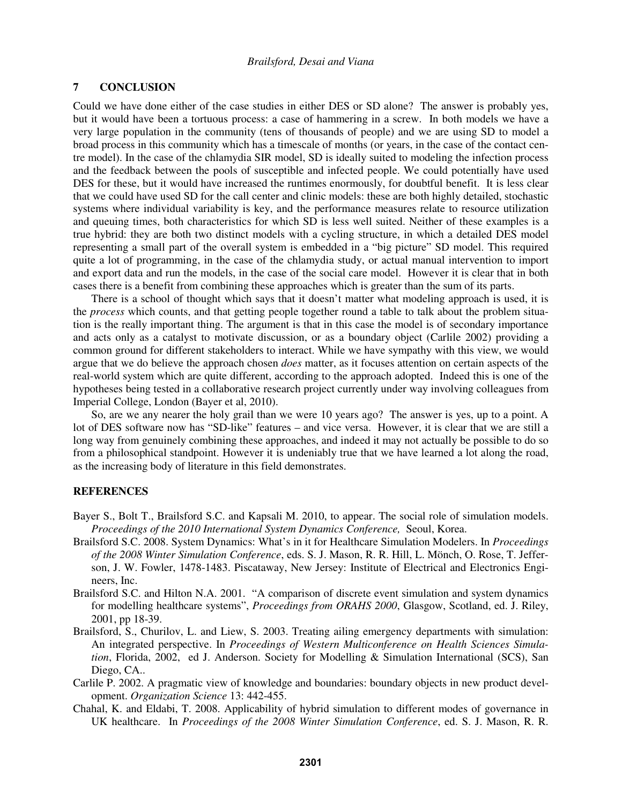### **7 CONCLUSION**

Could we have done either of the case studies in either DES or SD alone? The answer is probably yes, but it would have been a tortuous process: a case of hammering in a screw. In both models we have a very large population in the community (tens of thousands of people) and we are using SD to model a broad process in this community which has a timescale of months (or years, in the case of the contact centre model). In the case of the chlamydia SIR model, SD is ideally suited to modeling the infection process and the feedback between the pools of susceptible and infected people. We could potentially have used DES for these, but it would have increased the runtimes enormously, for doubtful benefit. It is less clear that we could have used SD for the call center and clinic models: these are both highly detailed, stochastic systems where individual variability is key, and the performance measures relate to resource utilization and queuing times, both characteristics for which SD is less well suited. Neither of these examples is a true hybrid: they are both two distinct models with a cycling structure, in which a detailed DES model representing a small part of the overall system is embedded in a "big picture" SD model. This required quite a lot of programming, in the case of the chlamydia study, or actual manual intervention to import and export data and run the models, in the case of the social care model. However it is clear that in both cases there is a benefit from combining these approaches which is greater than the sum of its parts.

 There is a school of thought which says that it doesn't matter what modeling approach is used, it is the *process* which counts, and that getting people together round a table to talk about the problem situation is the really important thing. The argument is that in this case the model is of secondary importance and acts only as a catalyst to motivate discussion, or as a boundary object (Carlile 2002) providing a common ground for different stakeholders to interact. While we have sympathy with this view, we would argue that we do believe the approach chosen *does* matter, as it focuses attention on certain aspects of the real-world system which are quite different, according to the approach adopted. Indeed this is one of the hypotheses being tested in a collaborative research project currently under way involving colleagues from Imperial College, London (Bayer et al, 2010).

 So, are we any nearer the holy grail than we were 10 years ago? The answer is yes, up to a point. A lot of DES software now has "SD-like" features – and vice versa. However, it is clear that we are still a long way from genuinely combining these approaches, and indeed it may not actually be possible to do so from a philosophical standpoint. However it is undeniably true that we have learned a lot along the road, as the increasing body of literature in this field demonstrates.

#### **REFERENCES**

- Bayer S., Bolt T., Brailsford S.C. and Kapsali M. 2010, to appear. The social role of simulation models. *Proceedings of the 2010 International System Dynamics Conference,* Seoul, Korea.
- Brailsford S.C. 2008. System Dynamics: What's in it for Healthcare Simulation Modelers. In *Proceedings of the 2008 Winter Simulation Conference*, eds. S. J. Mason, R. R. Hill, L. Mönch, O. Rose, T. Jefferson, J. W. Fowler, 1478-1483. Piscataway, New Jersey: Institute of Electrical and Electronics Engineers, Inc.
- Brailsford S.C. and Hilton N.A. 2001. "A comparison of discrete event simulation and system dynamics for modelling healthcare systems", *Proceedings from ORAHS 2000*, Glasgow, Scotland, ed. J. Riley, 2001, pp 18-39.
- Brailsford, S., Churilov, L. and Liew, S. 2003. Treating ailing emergency departments with simulation: An integrated perspective. In *Proceedings of Western Multiconference on Health Sciences Simulation*, Florida, 2002, ed J. Anderson. Society for Modelling & Simulation International (SCS), San Diego, CA..
- Carlile P. 2002. A pragmatic view of knowledge and boundaries: boundary objects in new product development. *Organization Science* 13: 442-455.
- Chahal, K. and Eldabi, T. 2008. Applicability of hybrid simulation to different modes of governance in UK healthcare. In *Proceedings of the 2008 Winter Simulation Conference*, ed. S. J. Mason, R. R.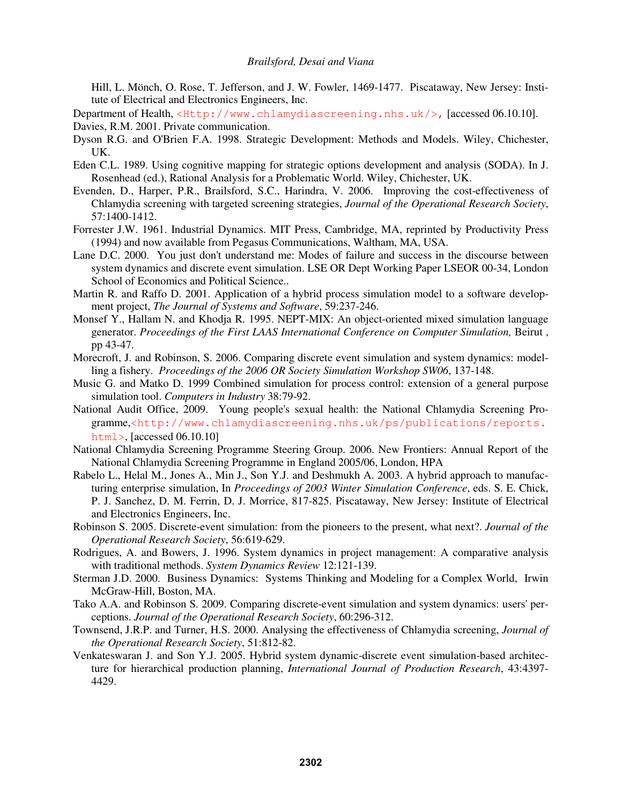Hill, L. Mönch, O. Rose, T. Jefferson, and J. W. Fowler, 1469-1477. Piscataway, New Jersey: Institute of Electrical and Electronics Engineers, Inc.

Department of Health, <Http://www.chlamydiascreening.nhs.uk/>, [accessed 06.10.10].

Davies, R.M. 2001. Private communication.

- Dyson R.G. and O'Brien F.A. 1998. Strategic Development: Methods and Models. Wiley, Chichester, UK.
- Eden C.L. 1989. Using cognitive mapping for strategic options development and analysis (SODA). In J. Rosenhead (ed.), Rational Analysis for a Problematic World. Wiley, Chichester, UK.
- Evenden, D., Harper, P.R., Brailsford, S.C., Harindra, V. 2006. Improving the cost-effectiveness of Chlamydia screening with targeted screening strategies, *Journal of the Operational Research Society*, 57:1400-1412.
- Forrester J.W. 1961. Industrial Dynamics. MIT Press, Cambridge, MA, reprinted by Productivity Press (1994) and now available from Pegasus Communications, Waltham, MA, USA.
- Lane D.C. 2000. You just don't understand me: Modes of failure and success in the discourse between system dynamics and discrete event simulation. LSE OR Dept Working Paper LSEOR 00-34, London School of Economics and Political Science..
- Martin R. and Raffo D. 2001. Application of a hybrid process simulation model to a software development project, *The Journal of Systems and Software*, 59:237-246.
- Monsef Y., Hallam N. and Khodja R. 1995. NEPT-MIX: An object-oriented mixed simulation language generator. *Proceedings of the First LAAS International Conference on Computer Simulation,* Beirut , pp 43-47.
- Morecroft, J. and Robinson, S. 2006. Comparing discrete event simulation and system dynamics: modelling a fishery. *Proceedings of the 2006 OR Society Simulation Workshop SW06*, 137-148.
- Music G. and Matko D. 1999 Combined simulation for process control: extension of a general purpose simulation tool. *Computers in Industry* 38:79-92.
- National Audit Office, 2009. Young people's sexual health: the National Chlamydia Screening Programme,<http://www.chlamydiascreening.nhs.uk/ps/publications/reports. html>, [accessed 06.10.10]
- National Chlamydia Screening Programme Steering Group. 2006. New Frontiers: Annual Report of the National Chlamydia Screening Programme in England 2005/06, London, HPA
- Rabelo L., Helal M., Jones A., Min J., Son Y.J. and Deshmukh A. 2003. A hybrid approach to manufacturing enterprise simulation, In *Proceedings of 2003 Winter Simulation Conference*, eds. S. E. Chick, P. J. Sanchez, D. M. Ferrin, D. J. Morrice, 817-825. Piscataway, New Jersey: Institute of Electrical and Electronics Engineers, Inc.
- Robinson S. 2005. Discrete-event simulation: from the pioneers to the present, what next?. *Journal of the Operational Research Society*, 56:619-629.
- Rodrigues, A. and Bowers, J. 1996. System dynamics in project management: A comparative analysis with traditional methods. *System Dynamics Review* 12:121-139.
- Sterman J.D. 2000. Business Dynamics: Systems Thinking and Modeling for a Complex World, Irwin McGraw-Hill, Boston, MA.
- Tako A.A. and Robinson S. 2009. Comparing discrete-event simulation and system dynamics: users' perceptions. *Journal of the Operational Research Society*, 60:296-312.
- Townsend, J.R.P. and Turner, H.S. 2000. Analysing the effectiveness of Chlamydia screening, *Journal of the Operational Research Society*, 51:812-82.
- Venkateswaran J. and Son Y.J. 2005. Hybrid system dynamic-discrete event simulation-based architecture for hierarchical production planning, *International Journal of Production Research*, 43:4397- 4429.